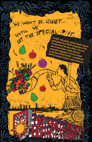